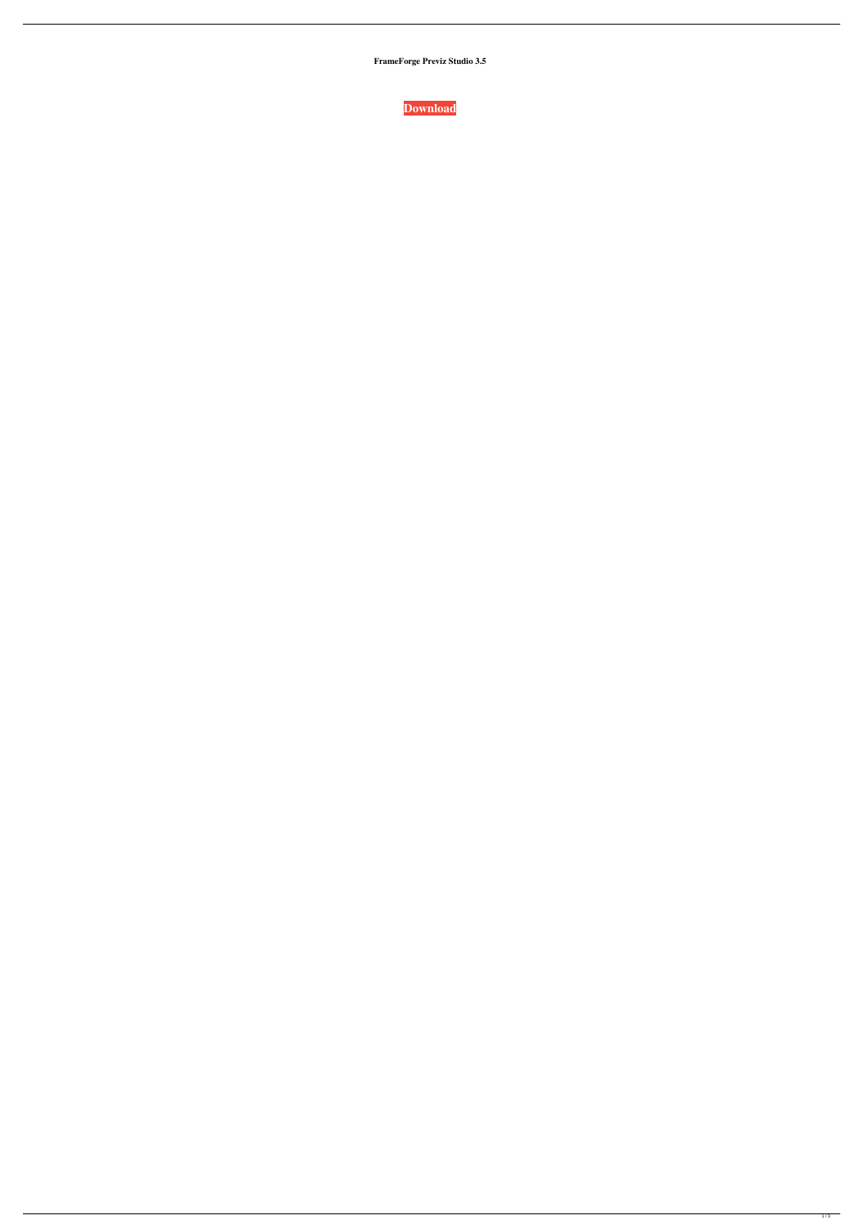**FrameForge Previz Studio 3.5**

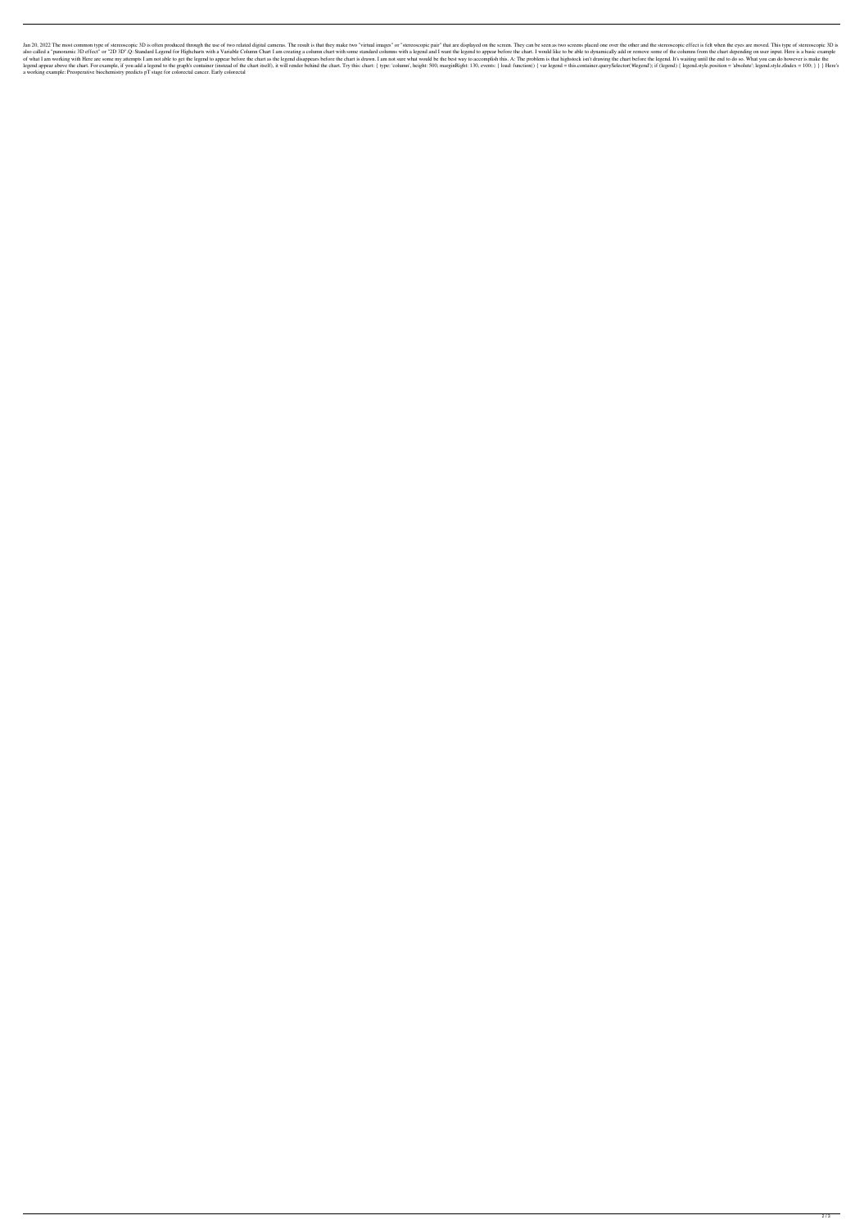Jan 20, 2022 The most common type of stereoscopic 3D is often produced through the use of two related digital cameras. The result is that they make two "virtual images" or "stereoscopic pair" that are displayed on the scre also called a "panoramic 3D effect" or "2D 3D".Q: Standard Legend for Highcharts with a Variable Column Chart I am creating a column chart with some standard columns with a legend and I want the legend to appear before the of what I am working with Here are some my attempts I am not able to get the legend to appear before the chart as the legend disappears before the chart is drawn. I am not sure what would be the best way to accomplish this legend appear above the chart. For example, if you add a legend to the graph's container (instead of the chart itself), it will render behind the chart. Try this: chart: { type: 'column', height: 500, marginRight: 130, eve a working example: Preoperative biochemistry predicts pT stage for colorectal cancer. Early colorectal